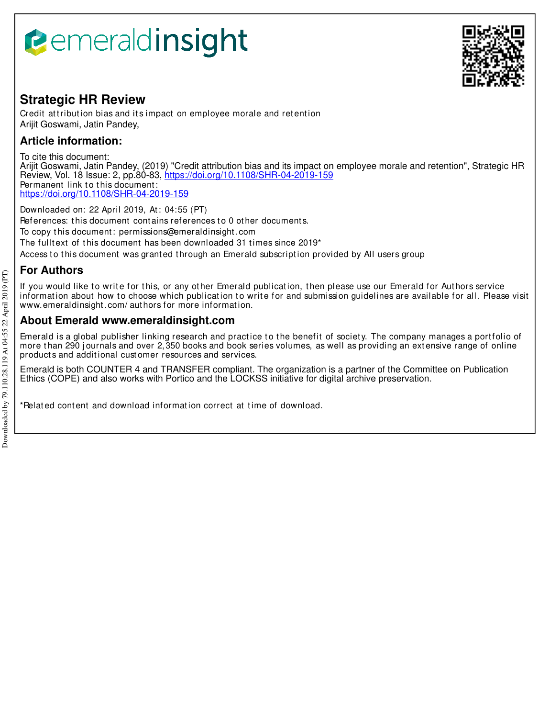# **Bemeraldinsight**



### **Strategic HR Review**

Credit attribution bias and its impact on employee morale and retention Arijit Goswami, Jatin Pandey,

### **Article information:**

To cite this document:

Arijit Goswami, Jatin Pandey, (2019) "Credit attribution bias and its impact on employee morale and retention", Strategic HR Review, Vol. 18 Issue: 2, pp.80-83, https://doi.org/10.1108/SHR-04-2019-159 Permanent link to this document: https://doi.org/10.1108/SHR-04-2019-159

Downloaded on: 22 April 2019, At : 04:55 (PT) References: this document contains references to 0 other documents. To copy t his document : permissions@emeraldinsight .com The fulltext of this document has been downloaded 31 times since 2019\* Access to this document was granted through an Emerald subscription provided by All users group

## **For Authors**

If you would like to write for this, or any other Emerald publication, then please use our Emerald for Authors service information about how to choose which publication to write for and submission guidelines are available for all. Please visit www.emeraldinsight.com/ authors for more information.

#### **About Emerald www.emeraldinsight.com**

Emerald is a global publisher linking research and practice to the benefit of society. The company manages a portfolio of more than 290 journals and over 2,350 books and book series volumes, as well as providing an extensive range of online product s and addit ional cust omer resources and services.

Emerald is both COUNTER 4 and TRANSFER compliant. The organization is a partner of the Committee on Publication Ethics (COPE) and also works with Portico and the LOCKSS initiative for digital archive preservation.

\*Relat ed cont ent and download informat ion correct at t ime of download.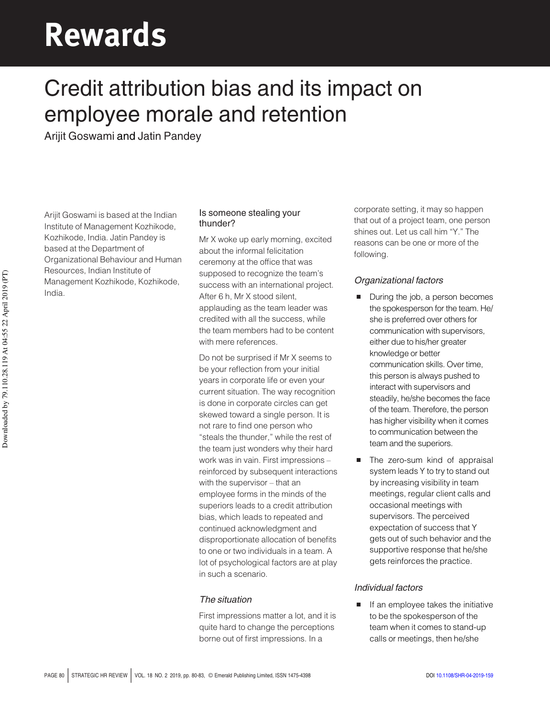# Rewards

# Credit attribution bias and its impact on employee morale and retention

Arijit Goswami and Jatin Pandey

Arijit Goswami is based at the Indian Institute of Management Kozhikode, Kozhikode, India. Jatin Pandey is based at the Department of Organizational Behaviour and Human Resources, Indian Institute of Management Kozhikode, Kozhikode, India.

#### Is someone stealing your thunder?

Mr X woke up early morning, excited about the informal felicitation ceremony at the office that was supposed to recognize the team's success with an international project. After 6 h, Mr X stood silent, applauding as the team leader was credited with all the success, while the team members had to be content with mere references.

Do not be surprised if Mr X seems to be your reflection from your initial years in corporate life or even your current situation. The way recognition is done in corporate circles can get skewed toward a single person. It is not rare to find one person who "steals the thunder," while the rest of the team just wonders why their hard work was in vain. First impressions – reinforced by subsequent interactions with the supervisor – that an employee forms in the minds of the superiors leads to a credit attribution bias, which leads to repeated and continued acknowledgment and disproportionate allocation of benefits to one or two individuals in a team. A lot of psychological factors are at play in such a scenario.

#### The situation

First impressions matter a lot, and it is quite hard to change the perceptions borne out of first impressions. In a

corporate setting, it may so happen that out of a project team, one person shines out. Let us call him "Y." The reasons can be one or more of the following.

#### Organizational factors

- During the job, a person becomes the spokesperson for the team. He/ she is preferred over others for communication with supervisors, either due to his/her greater knowledge or better communication skills. Over time, this person is always pushed to interact with supervisors and steadily, he/she becomes the face of the team. Therefore, the person has higher visibility when it comes to communication between the team and the superiors.
- The zero-sum kind of appraisal system leads Y to try to stand out by increasing visibility in team meetings, regular client calls and occasional meetings with supervisors. The perceived expectation of success that Y gets out of such behavior and the supportive response that he/she gets reinforces the practice.

#### Individual factors

If an employee takes the initiative to be the spokesperson of the team when it comes to stand-up calls or meetings, then he/she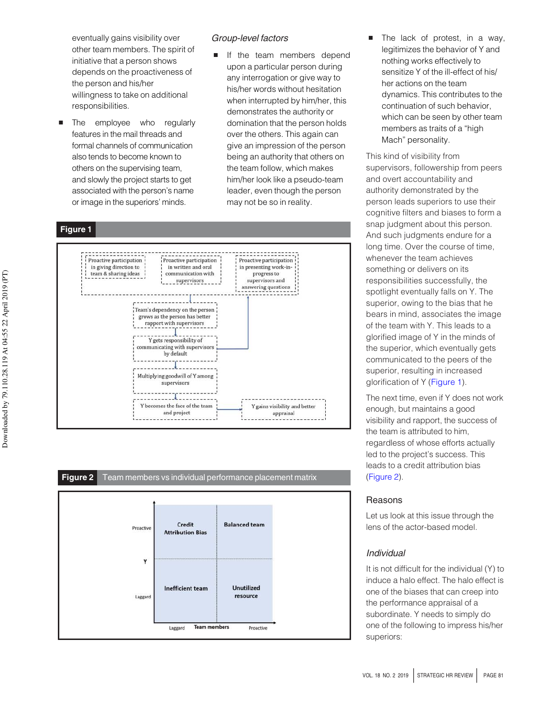eventually gains visibility over other team members. The spirit of initiative that a person shows depends on the proactiveness of the person and his/her willingness to take on additional responsibilities.

 The employee who regularly features in the mail threads and formal channels of communication also tends to become known to others on the supervising team, and slowly the project starts to get associated with the person's name or image in the superiors' minds.

#### Group-level factors

 If the team members depend upon a particular person during any interrogation or give way to his/her words without hesitation when interrupted by him/her, this demonstrates the authority or domination that the person holds over the others. This again can give an impression of the person being an authority that others on the team follow, which makes him/her look like a pseudo-team leader, even though the person may not be so in reality.







 The lack of protest, in a way, legitimizes the behavior of Y and nothing works effectively to sensitize Y of the ill-effect of his/ her actions on the team dynamics. This contributes to the continuation of such behavior, which can be seen by other team members as traits of a "high Mach" personality.

This kind of visibility from supervisors, followership from peers and overt accountability and authority demonstrated by the person leads superiors to use their cognitive filters and biases to form a snap judgment about this person. And such judgments endure for a long time. Over the course of time, whenever the team achieves something or delivers on its responsibilities successfully, the spotlight eventually falls on Y. The superior, owing to the bias that he bears in mind, associates the image of the team with Y. This leads to a glorified image of Y in the minds of the superior, which eventually gets communicated to the peers of the superior, resulting in increased glorification of Y (Figure 1).

The next time, even if Y does not work enough, but maintains a good visibility and rapport, the success of the team is attributed to him, regardless of whose efforts actually led to the project's success. This leads to a credit attribution bias (Figure 2).

#### Reasons

Let us look at this issue through the lens of the actor-based model.

#### Individual

It is not difficult for the individual (Y) to induce a halo effect. The halo effect is one of the biases that can creep into the performance appraisal of a subordinate. Y needs to simply do one of the following to impress his/her superiors: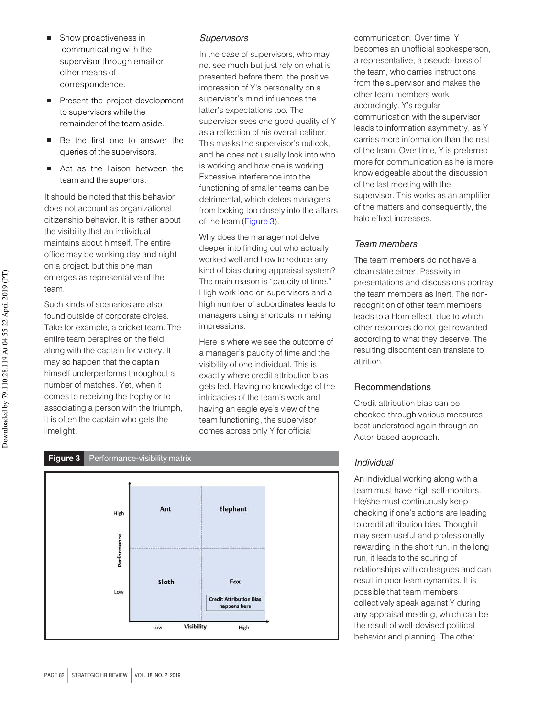- Show proactiveness in communicating with the supervisor through email or other means of correspondence.
- Present the project development to supervisors while the remainder of the team aside.
- Be the first one to answer the queries of the supervisors.
- Act as the liaison between the team and the superiors.

It should be noted that this behavior does not account as organizational citizenship behavior. It is rather about the visibility that an individual maintains about himself. The entire office may be working day and night on a project, but this one man emerges as representative of the team.

Such kinds of scenarios are also found outside of corporate circles. Take for example, a cricket team. The entire team perspires on the field along with the captain for victory. It may so happen that the captain himself underperforms throughout a number of matches. Yet, when it comes to receiving the trophy or to associating a person with the triumph, it is often the captain who gets the limelight.

#### **Supervisors**

In the case of supervisors, who may not see much but just rely on what is presented before them, the positive impression of Y's personality on a supervisor's mind influences the latter's expectations too. The supervisor sees one good quality of Y as a reflection of his overall caliber. This masks the supervisor's outlook, and he does not usually look into who is working and how one is working. Excessive interference into the functioning of smaller teams can be detrimental, which deters managers from looking too closely into the affairs of the team (Figure 3).

Why does the manager not delve deeper into finding out who actually worked well and how to reduce any kind of bias during appraisal system? The main reason is "paucity of time." High work load on supervisors and a high number of subordinates leads to managers using shortcuts in making impressions.

Here is where we see the outcome of a manager's paucity of time and the visibility of one individual. This is exactly where credit attribution bias gets fed. Having no knowledge of the intricacies of the team's work and having an eagle eye's view of the team functioning, the supervisor comes across only Y for official



#### Team members

The team members do not have a clean slate either. Passivity in presentations and discussions portray the team members as inert. The nonrecognition of other team members leads to a Horn effect, due to which other resources do not get rewarded according to what they deserve. The resulting discontent can translate to attrition.

#### Recommendations

Credit attribution bias can be checked through various measures, best understood again through an Actor-based approach.

#### Individual

An individual working along with a team must have high self-monitors. He/she must continuously keep checking if one's actions are leading to credit attribution bias. Though it may seem useful and professionally rewarding in the short run, in the long run, it leads to the souring of relationships with colleagues and can result in poor team dynamics. It is possible that team members collectively speak against Y during any appraisal meeting, which can be the result of well-devised political behavior and planning. The other